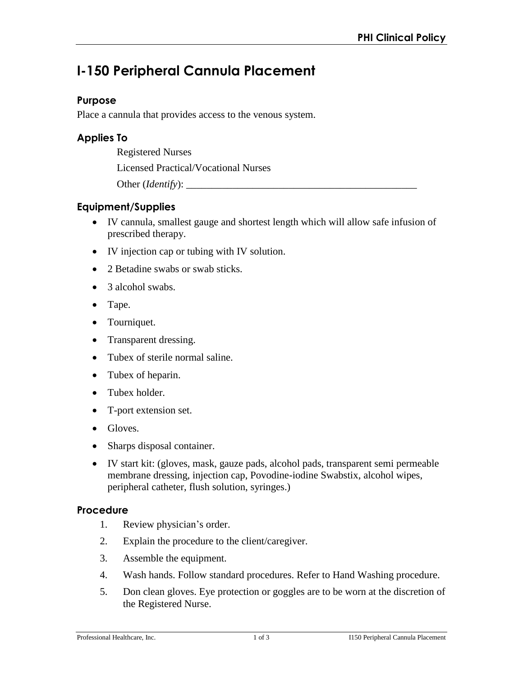# **I-150 Peripheral Cannula Placement**

## **Purpose**

Place a cannula that provides access to the venous system.

# **Applies To**

Registered Nurses

Licensed Practical/Vocational Nurses

Other (*Identify*):

# **Equipment/Supplies**

- IV cannula, smallest gauge and shortest length which will allow safe infusion of prescribed therapy.
- IV injection cap or tubing with IV solution.
- 2 Betadine swabs or swab sticks.
- 3 alcohol swabs.
- Tape.
- Tourniquet.
- Transparent dressing.
- Tubex of sterile normal saline.
- Tubex of heparin.
- Tubex holder.
- T-port extension set.
- Gloves.
- Sharps disposal container.
- IV start kit: (gloves, mask, gauze pads, alcohol pads, transparent semi permeable membrane dressing, injection cap, Povodine-iodine Swabstix, alcohol wipes, peripheral catheter, flush solution, syringes.)

### **Procedure**

- 1. Review physician's order.
- 2. Explain the procedure to the client/caregiver.
- 3. Assemble the equipment.
- 4. Wash hands. Follow standard procedures. Refer to Hand Washing procedure.
- 5. Don clean gloves. Eye protection or goggles are to be worn at the discretion of the Registered Nurse.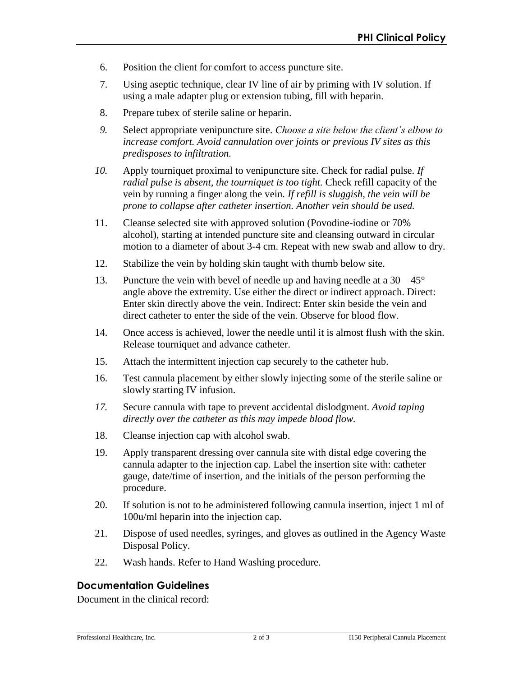- 6. Position the client for comfort to access puncture site.
- 7. Using aseptic technique, clear IV line of air by priming with IV solution. If using a male adapter plug or extension tubing, fill with heparin.
- 8. Prepare tubex of sterile saline or heparin.
- *9.* Select appropriate venipuncture site. *Choose a site below the client's elbow to increase comfort. Avoid cannulation over joints or previous IV sites as this predisposes to infiltration.*
- *10.* Apply tourniquet proximal to venipuncture site. Check for radial pulse. *If radial pulse is absent, the tourniquet is too tight.* Check refill capacity of the vein by running a finger along the vein. *If refill is sluggish, the vein will be prone to collapse after catheter insertion. Another vein should be used.*
- 11. Cleanse selected site with approved solution (Povodine-iodine or 70% alcohol), starting at intended puncture site and cleansing outward in circular motion to a diameter of about 3-4 cm. Repeat with new swab and allow to dry.
- 12. Stabilize the vein by holding skin taught with thumb below site.
- 13. Puncture the vein with bevel of needle up and having needle at a  $30 45^{\circ}$ angle above the extremity. Use either the direct or indirect approach. Direct: Enter skin directly above the vein. Indirect: Enter skin beside the vein and direct catheter to enter the side of the vein. Observe for blood flow.
- 14. Once access is achieved, lower the needle until it is almost flush with the skin. Release tourniquet and advance catheter.
- 15. Attach the intermittent injection cap securely to the catheter hub.
- 16. Test cannula placement by either slowly injecting some of the sterile saline or slowly starting IV infusion.
- *17.* Secure cannula with tape to prevent accidental dislodgment. *Avoid taping directly over the catheter as this may impede blood flow.*
- 18. Cleanse injection cap with alcohol swab.
- 19. Apply transparent dressing over cannula site with distal edge covering the cannula adapter to the injection cap. Label the insertion site with: catheter gauge, date/time of insertion, and the initials of the person performing the procedure.
- 20. If solution is not to be administered following cannula insertion, inject 1 ml of 100u/ml heparin into the injection cap.
- 21. Dispose of used needles, syringes, and gloves as outlined in the Agency Waste Disposal Policy.
- 22. Wash hands. Refer to Hand Washing procedure.

### **Documentation Guidelines**

Document in the clinical record: